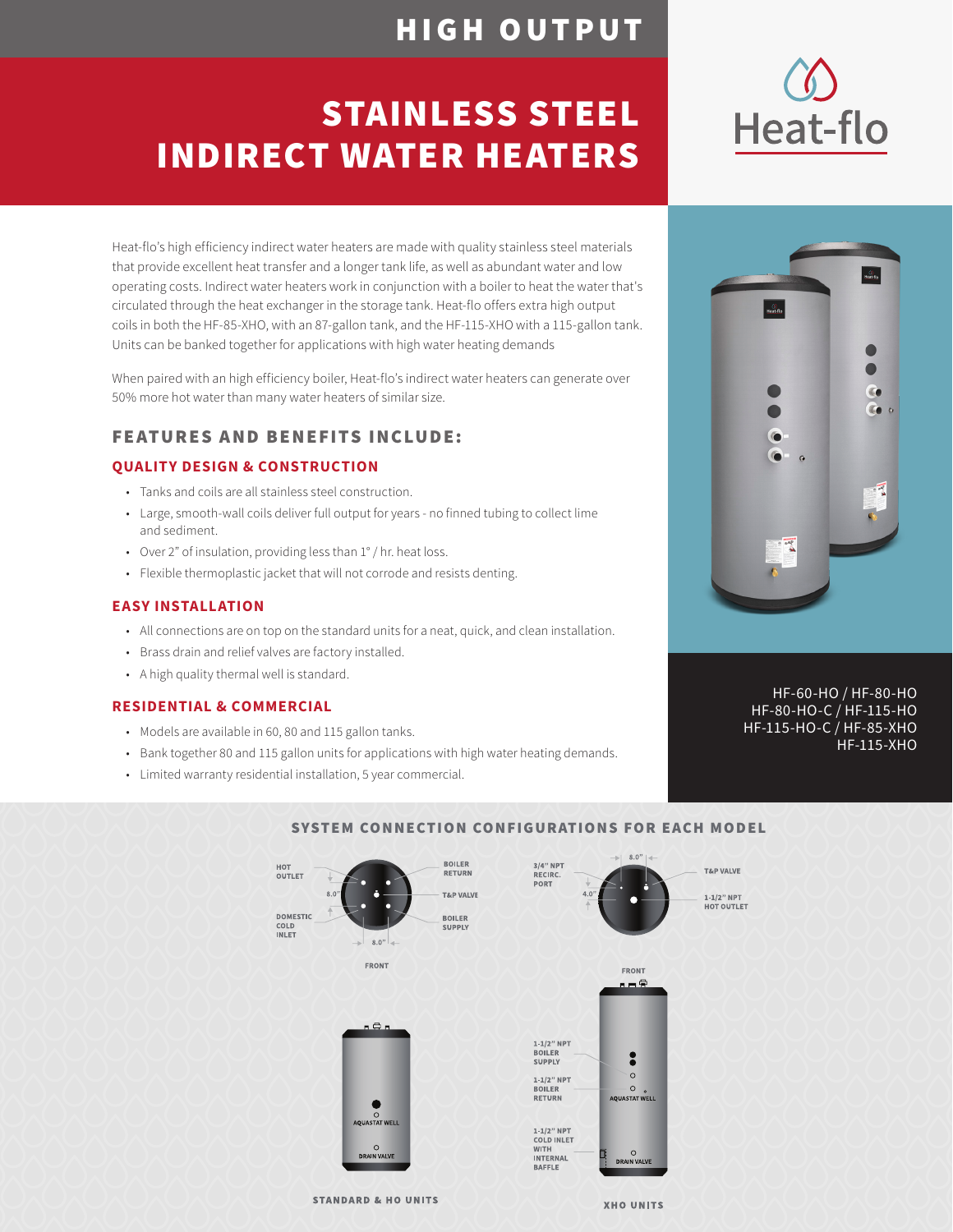### HIGH OUTPUT

## STAINLESS STEEL INDIRECT WATER HEATERS

Heat-flo's high efficiency indirect water heaters are made with quality stainless steel materials that provide excellent heat transfer and a longer tank life, as well as abundant water and low operating costs. Indirect water heaters work in conjunction with a boiler to heat the water that's circulated through the heat exchanger in the storage tank. Heat-flo offers extra high output coils in both the HF-85-XHO, with an 87-gallon tank, and the HF-115-XHO with a 115-gallon tank. Units can be banked together for applications with high water heating demands

When paired with an high efficiency boiler, Heat-flo's indirect water heaters can generate over 50% more hot water than many water heaters of similar size.

### FEATURES AND BENEFITS INCLUDE:

#### **QUALITY DESIGN & CONSTRUCTION**

- Tanks and coils are all stainless steel construction.
- Large, smooth-wall coils deliver full output for years no finned tubing to collect lime and sediment.
- Over 2" of insulation, providing less than 1° / hr. heat loss.
- Flexible thermoplastic jacket that will not corrode and resists denting.

#### **EASY INSTALLATION**

- All connections are on top on the standard units for a neat, quick, and clean installation.
- Brass drain and relief valves are factory installed.
- A high quality thermal well is standard.

#### **RESIDENTIAL & COMMERCIAL**

- Models are available in 60, 80 and 115 gallon tanks.
- Bank together 80 and 115 gallon units for applications with high water heating demands.
- Limited warranty residential installation, 5 year commercial.



#### SYSTEM CONNECTION CONFIGURATIONS FOR EACH MODEL

**STANDARD & HO UNITS** 





 HF-60-HO / HF-80-HO HF-80-HO-C / HF-115-HO HF-115-HO-C / HF-85-XHO HF-115-XHO